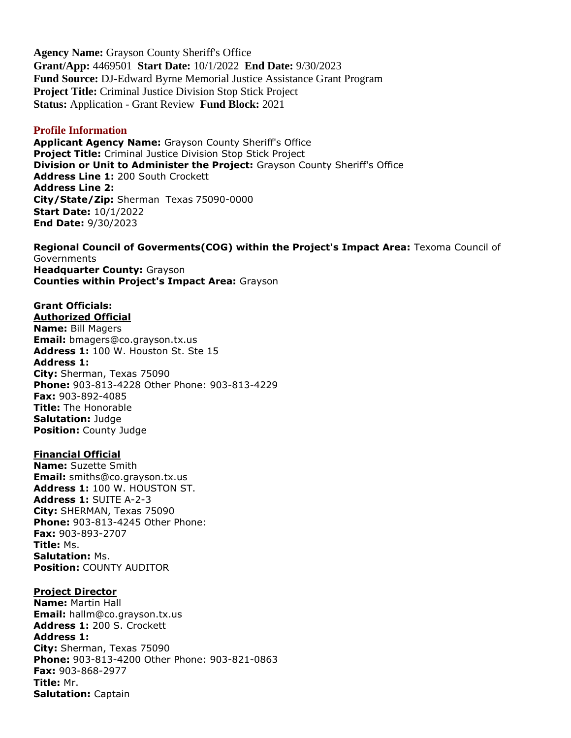**Agency Name:** Grayson County Sheriff's Office **Grant/App:** 4469501 **Start Date:** 10/1/2022 **End Date:** 9/30/2023 **Fund Source:** DJ-Edward Byrne Memorial Justice Assistance Grant Program **Project Title:** Criminal Justice Division Stop Stick Project **Status:** Application - Grant Review **Fund Block:** 2021

## **Profile Information**

**Applicant Agency Name:** Grayson County Sheriff's Office **Project Title:** Criminal Justice Division Stop Stick Project **Division or Unit to Administer the Project:** Grayson County Sheriff's Office **Address Line 1:** 200 South Crockett **Address Line 2: City/State/Zip:** Sherman Texas 75090-0000 **Start Date:** 10/1/2022 **End Date:** 9/30/2023

**Regional Council of Goverments(COG) within the Project's Impact Area:** Texoma Council of Governments **Headquarter County:** Grayson **Counties within Project's Impact Area:** Grayson

#### **Grant Officials: Authorized Official**

**Name:** Bill Magers **Email:** bmagers@co.grayson.tx.us **Address 1:** 100 W. Houston St. Ste 15 **Address 1: City:** Sherman, Texas 75090 **Phone:** 903-813-4228 Other Phone: 903-813-4229 **Fax:** 903-892-4085 **Title:** The Honorable **Salutation:** Judge **Position:** County Judge

## **Financial Official**

**Name:** Suzette Smith **Email:** smiths@co.grayson.tx.us **Address 1:** 100 W. HOUSTON ST. **Address 1:** SUITE A-2-3 **City:** SHERMAN, Texas 75090 **Phone:** 903-813-4245 Other Phone: **Fax:** 903-893-2707 **Title:** Ms. **Salutation:** Ms. **Position:** COUNTY AUDITOR

## **Project Director**

**Name:** Martin Hall **Email:** hallm@co.grayson.tx.us **Address 1:** 200 S. Crockett **Address 1: City:** Sherman, Texas 75090 **Phone:** 903-813-4200 Other Phone: 903-821-0863 **Fax:** 903-868-2977 **Title:** Mr. **Salutation:** Captain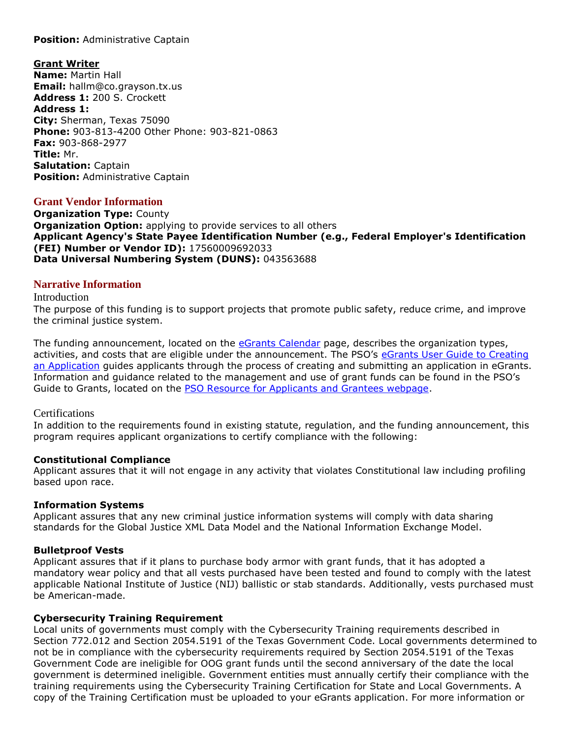## **Position:** Administrative Captain

**Grant Writer Name:** Martin Hall **Email:** hallm@co.grayson.tx.us **Address 1:** 200 S. Crockett **Address 1: City:** Sherman, Texas 75090 **Phone:** 903-813-4200 Other Phone: 903-821-0863 **Fax:** 903-868-2977 **Title:** Mr. **Salutation:** Captain **Position:** Administrative Captain

## **Grant Vendor Information**

**Organization Type: County Organization Option:** applying to provide services to all others **Applicant Agency's State Payee Identification Number (e.g., Federal Employer's Identification (FEI) Number or Vendor ID):** 17560009692033 **Data Universal Numbering System (DUNS):** 043563688

## **Narrative Information**

Introduction The purpose of this funding is to support projects that promote public safety, reduce crime, and improve the criminal justice system.

The funding announcement, located on the [eGrants Calendar](https://egrants.gov.texas.gov/fundopp.aspx) page, describes the organization types, activities, and costs that are eligible under the announcement. The PSO's [eGrants User Guide to Creating](file:///C:/Users/mharp/fundopp.aspx%3fname=eGrants_Guide_to_Creating_an_Application_12.2020.pdf&type=2)  [an Application](file:///C:/Users/mharp/fundopp.aspx%3fname=eGrants_Guide_to_Creating_an_Application_12.2020.pdf&type=2) guides applicants through the process of creating and submitting an application in eGrants. Information and guidance related to the management and use of grant funds can be found in the PSO's Guide to Grants, located on the [PSO Resource for Applicants and Grantees webpage.](https://gov.texas.gov/organization/cjd/resources)

## Certifications

In addition to the requirements found in existing statute, regulation, and the funding announcement, this program requires applicant organizations to certify compliance with the following:

## **Constitutional Compliance**

Applicant assures that it will not engage in any activity that violates Constitutional law including profiling based upon race.

## **Information Systems**

Applicant assures that any new criminal justice information systems will comply with data sharing standards for the Global Justice XML Data Model and the National Information Exchange Model.

## **Bulletproof Vests**

Applicant assures that if it plans to purchase body armor with grant funds, that it has adopted a mandatory wear policy and that all vests purchased have been tested and found to comply with the latest applicable National Institute of Justice (NIJ) ballistic or stab standards. Additionally, vests purchased must be American-made.

## **Cybersecurity Training Requirement**

Local units of governments must comply with the Cybersecurity Training requirements described in Section 772.012 and Section 2054.5191 of the Texas Government Code. Local governments determined to not be in compliance with the cybersecurity requirements required by Section 2054.5191 of the Texas Government Code are ineligible for OOG grant funds until the second anniversary of the date the local government is determined ineligible. Government entities must annually certify their compliance with the training requirements using the Cybersecurity Training Certification for State and Local Governments. A copy of the Training Certification must be uploaded to your eGrants application. For more information or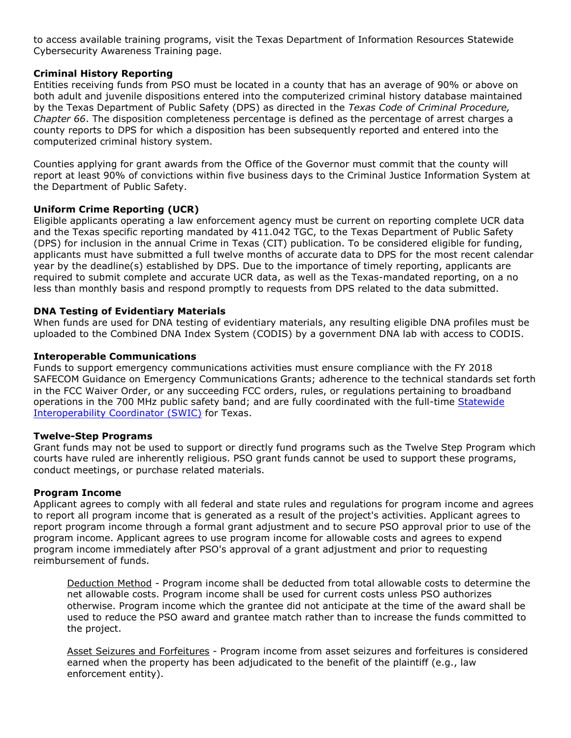to access available training programs, visit the Texas Department of Information Resources Statewide Cybersecurity Awareness Training page.

## **Criminal History Reporting**

Entities receiving funds from PSO must be located in a county that has an average of 90% or above on both adult and juvenile dispositions entered into the computerized criminal history database maintained by the Texas Department of Public Safety (DPS) as directed in the *Texas Code of Criminal Procedure, Chapter 66*. The disposition completeness percentage is defined as the percentage of arrest charges a county reports to DPS for which a disposition has been subsequently reported and entered into the computerized criminal history system.

Counties applying for grant awards from the Office of the Governor must commit that the county will report at least 90% of convictions within five business days to the Criminal Justice Information System at the Department of Public Safety.

## **Uniform Crime Reporting (UCR)**

Eligible applicants operating a law enforcement agency must be current on reporting complete UCR data and the Texas specific reporting mandated by 411.042 TGC, to the Texas Department of Public Safety (DPS) for inclusion in the annual Crime in Texas (CIT) publication. To be considered eligible for funding, applicants must have submitted a full twelve months of accurate data to DPS for the most recent calendar year by the deadline(s) established by DPS. Due to the importance of timely reporting, applicants are required to submit complete and accurate UCR data, as well as the Texas-mandated reporting, on a no less than monthly basis and respond promptly to requests from DPS related to the data submitted.

## **DNA Testing of Evidentiary Materials**

When funds are used for DNA testing of evidentiary materials, any resulting eligible DNA profiles must be uploaded to the Combined DNA Index System (CODIS) by a government DNA lab with access to CODIS.

## **Interoperable Communications**

Funds to support emergency communications activities must ensure compliance with the FY 2018 SAFECOM Guidance on Emergency Communications Grants; adherence to the technical standards set forth in the FCC Waiver Order, or any succeeding FCC orders, rules, or regulations pertaining to broadband operations in the 700 MHz public safety band; and are fully coordinated with the full-time [Statewide](https://www.dps.texas.gov/section/infrastructure-operations/texas-statewide-interoperability-coordinator)  [Interoperability Coordinator \(SWIC\)](https://www.dps.texas.gov/section/infrastructure-operations/texas-statewide-interoperability-coordinator) for Texas.

## **Twelve-Step Programs**

Grant funds may not be used to support or directly fund programs such as the Twelve Step Program which courts have ruled are inherently religious. PSO grant funds cannot be used to support these programs, conduct meetings, or purchase related materials.

## **Program Income**

Applicant agrees to comply with all federal and state rules and regulations for program income and agrees to report all program income that is generated as a result of the project's activities. Applicant agrees to report program income through a formal grant adjustment and to secure PSO approval prior to use of the program income. Applicant agrees to use program income for allowable costs and agrees to expend program income immediately after PSO's approval of a grant adjustment and prior to requesting reimbursement of funds.

Deduction Method - Program income shall be deducted from total allowable costs to determine the net allowable costs. Program income shall be used for current costs unless PSO authorizes otherwise. Program income which the grantee did not anticipate at the time of the award shall be used to reduce the PSO award and grantee match rather than to increase the funds committed to the project.

Asset Seizures and Forfeitures - Program income from asset seizures and forfeitures is considered earned when the property has been adjudicated to the benefit of the plaintiff (e.g., law enforcement entity).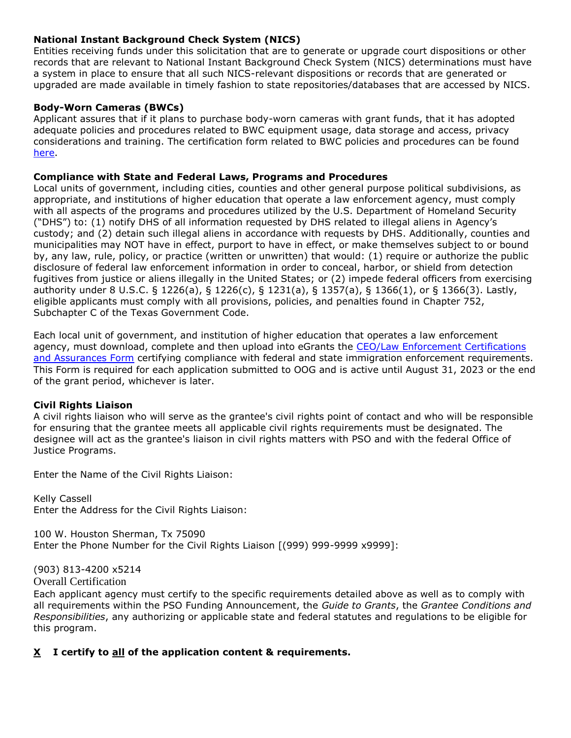## **National Instant Background Check System (NICS)**

Entities receiving funds under this solicitation that are to generate or upgrade court dispositions or other records that are relevant to National Instant Background Check System (NICS) determinations must have a system in place to ensure that all such NICS-relevant dispositions or records that are generated or upgraded are made available in timely fashion to state repositories/databases that are accessed by NICS.

## **Body-Worn Cameras (BWCs)**

Applicant assures that if it plans to purchase body-worn cameras with grant funds, that it has adopted adequate policies and procedures related to BWC equipment usage, data storage and access, privacy considerations and training. The certification form related to BWC policies and procedures can be found [here.](https://bja.ojp.gov/sites/g/files/xyckuh186/files/media/document/fy-21-jag-body-worn-camera-policy-cert.pdf)

## **Compliance with State and Federal Laws, Programs and Procedures**

Local units of government, including cities, counties and other general purpose political subdivisions, as appropriate, and institutions of higher education that operate a law enforcement agency, must comply with all aspects of the programs and procedures utilized by the U.S. Department of Homeland Security ("DHS") to: (1) notify DHS of all information requested by DHS related to illegal aliens in Agency's custody; and (2) detain such illegal aliens in accordance with requests by DHS. Additionally, counties and municipalities may NOT have in effect, purport to have in effect, or make themselves subject to or bound by, any law, rule, policy, or practice (written or unwritten) that would: (1) require or authorize the public disclosure of federal law enforcement information in order to conceal, harbor, or shield from detection fugitives from justice or aliens illegally in the United States; or (2) impede federal officers from exercising authority under 8 U.S.C. § 1226(a), § 1226(c), § 1231(a), § 1357(a), § 1366(1), or § 1366(3). Lastly, eligible applicants must comply with all provisions, policies, and penalties found in Chapter 752, Subchapter C of the Texas Government Code.

Each local unit of government, and institution of higher education that operates a law enforcement agency, must download, complete and then upload into eGrants the [CEO/Law Enforcement Certifications](file:///C:/Users/mharp/fundopp.aspx%3fname=CEO-LE_Cert-Assurances_Form-Blank.pdf&type=2)  [and Assurances Form](file:///C:/Users/mharp/fundopp.aspx%3fname=CEO-LE_Cert-Assurances_Form-Blank.pdf&type=2) certifying compliance with federal and state immigration enforcement requirements. This Form is required for each application submitted to OOG and is active until August 31, 2023 or the end of the grant period, whichever is later.

## **Civil Rights Liaison**

A civil rights liaison who will serve as the grantee's civil rights point of contact and who will be responsible for ensuring that the grantee meets all applicable civil rights requirements must be designated. The designee will act as the grantee's liaison in civil rights matters with PSO and with the federal Office of Justice Programs.

Enter the Name of the Civil Rights Liaison:

Kelly Cassell Enter the Address for the Civil Rights Liaison:

100 W. Houston Sherman, Tx 75090 Enter the Phone Number for the Civil Rights Liaison [(999) 999-9999 x9999]:

(903) 813-4200 x5214

Overall Certification

Each applicant agency must certify to the specific requirements detailed above as well as to comply with all requirements within the PSO Funding Announcement, the *Guide to Grants*, the *Grantee Conditions and Responsibilities*, any authorizing or applicable state and federal statutes and regulations to be eligible for this program.

## **X I certify to all of the application content & requirements.**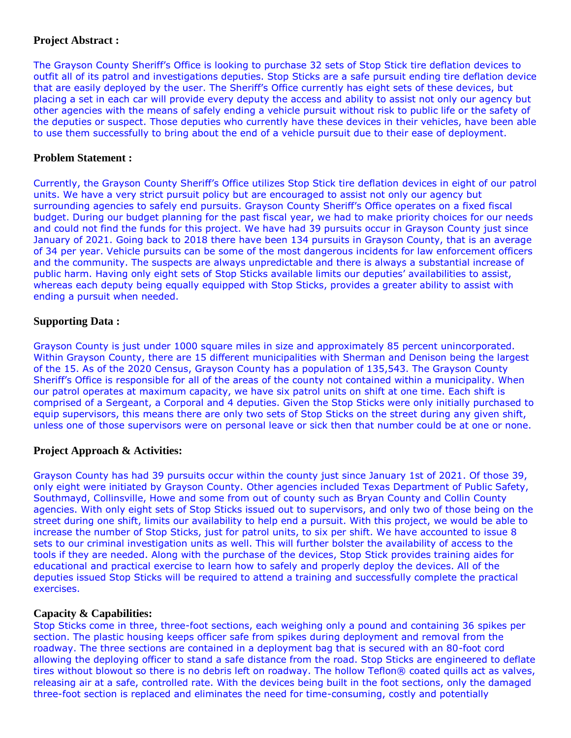# **Project Abstract :**

The Grayson County Sheriff's Office is looking to purchase 32 sets of Stop Stick tire deflation devices to outfit all of its patrol and investigations deputies. Stop Sticks are a safe pursuit ending tire deflation device that are easily deployed by the user. The Sheriff's Office currently has eight sets of these devices, but placing a set in each car will provide every deputy the access and ability to assist not only our agency but other agencies with the means of safely ending a vehicle pursuit without risk to public life or the safety of the deputies or suspect. Those deputies who currently have these devices in their vehicles, have been able to use them successfully to bring about the end of a vehicle pursuit due to their ease of deployment.

## **Problem Statement :**

Currently, the Grayson County Sheriff's Office utilizes Stop Stick tire deflation devices in eight of our patrol units. We have a very strict pursuit policy but are encouraged to assist not only our agency but surrounding agencies to safely end pursuits. Grayson County Sheriff's Office operates on a fixed fiscal budget. During our budget planning for the past fiscal year, we had to make priority choices for our needs and could not find the funds for this project. We have had 39 pursuits occur in Grayson County just since January of 2021. Going back to 2018 there have been 134 pursuits in Grayson County, that is an average of 34 per year. Vehicle pursuits can be some of the most dangerous incidents for law enforcement officers and the community. The suspects are always unpredictable and there is always a substantial increase of public harm. Having only eight sets of Stop Sticks available limits our deputies' availabilities to assist, whereas each deputy being equally equipped with Stop Sticks, provides a greater ability to assist with ending a pursuit when needed.

## **Supporting Data :**

Grayson County is just under 1000 square miles in size and approximately 85 percent unincorporated. Within Grayson County, there are 15 different municipalities with Sherman and Denison being the largest of the 15. As of the 2020 Census, Grayson County has a population of 135,543. The Grayson County Sheriff's Office is responsible for all of the areas of the county not contained within a municipality. When our patrol operates at maximum capacity, we have six patrol units on shift at one time. Each shift is comprised of a Sergeant, a Corporal and 4 deputies. Given the Stop Sticks were only initially purchased to equip supervisors, this means there are only two sets of Stop Sticks on the street during any given shift, unless one of those supervisors were on personal leave or sick then that number could be at one or none.

## **Project Approach & Activities:**

Grayson County has had 39 pursuits occur within the county just since January 1st of 2021. Of those 39, only eight were initiated by Grayson County. Other agencies included Texas Department of Public Safety, Southmayd, Collinsville, Howe and some from out of county such as Bryan County and Collin County agencies. With only eight sets of Stop Sticks issued out to supervisors, and only two of those being on the street during one shift, limits our availability to help end a pursuit. With this project, we would be able to increase the number of Stop Sticks, just for patrol units, to six per shift. We have accounted to issue 8 sets to our criminal investigation units as well. This will further bolster the availability of access to the tools if they are needed. Along with the purchase of the devices, Stop Stick provides training aides for educational and practical exercise to learn how to safely and properly deploy the devices. All of the deputies issued Stop Sticks will be required to attend a training and successfully complete the practical exercises.

## **Capacity & Capabilities:**

Stop Sticks come in three, three-foot sections, each weighing only a pound and containing 36 spikes per section. The plastic housing keeps officer safe from spikes during deployment and removal from the roadway. The three sections are contained in a deployment bag that is secured with an 80-foot cord allowing the deploying officer to stand a safe distance from the road. Stop Sticks are engineered to deflate tires without blowout so there is no debris left on roadway. The hollow Teflon® coated quills act as valves, releasing air at a safe, controlled rate. With the devices being built in the foot sections, only the damaged three-foot section is replaced and eliminates the need for time-consuming, costly and potentially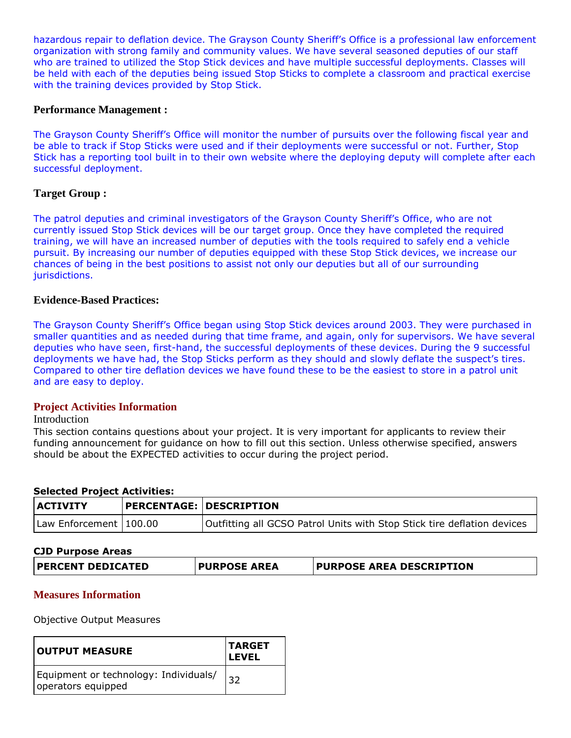hazardous repair to deflation device. The Grayson County Sheriff's Office is a professional law enforcement organization with strong family and community values. We have several seasoned deputies of our staff who are trained to utilized the Stop Stick devices and have multiple successful deployments. Classes will be held with each of the deputies being issued Stop Sticks to complete a classroom and practical exercise with the training devices provided by Stop Stick.

## **Performance Management :**

The Grayson County Sheriff's Office will monitor the number of pursuits over the following fiscal year and be able to track if Stop Sticks were used and if their deployments were successful or not. Further, Stop Stick has a reporting tool built in to their own website where the deploying deputy will complete after each successful deployment.

## **Target Group :**

The patrol deputies and criminal investigators of the Grayson County Sheriff's Office, who are not currently issued Stop Stick devices will be our target group. Once they have completed the required training, we will have an increased number of deputies with the tools required to safely end a vehicle pursuit. By increasing our number of deputies equipped with these Stop Stick devices, we increase our chances of being in the best positions to assist not only our deputies but all of our surrounding jurisdictions.

## **Evidence-Based Practices:**

The Grayson County Sheriff's Office began using Stop Stick devices around 2003. They were purchased in smaller quantities and as needed during that time frame, and again, only for supervisors. We have several deputies who have seen, first-hand, the successful deployments of these devices. During the 9 successful deployments we have had, the Stop Sticks perform as they should and slowly deflate the suspect's tires. Compared to other tire deflation devices we have found these to be the easiest to store in a patrol unit and are easy to deploy.

## **Project Activities Information**

#### Introduction

This section contains questions about your project. It is very important for applicants to review their funding announcement for guidance on how to fill out this section. Unless otherwise specified, answers should be about the EXPECTED activities to occur during the project period.

#### **Selected Project Activities:**

| <b>ACTIVITY</b>          | <b>PERCENTAGE: DESCRIPTION</b>                                          |
|--------------------------|-------------------------------------------------------------------------|
| Law Enforcement   100.00 | Outfitting all GCSO Patrol Units with Stop Stick tire deflation devices |

## **CJD Purpose Areas**

| <b>PERCENT DEDICATED</b> | <b>PURPOSE AREA</b> | <b>PURPOSE AREA DESCRIPTION</b> |
|--------------------------|---------------------|---------------------------------|
|--------------------------|---------------------|---------------------------------|

## **Measures Information**

Objective Output Measures

| <b>OUTPUT MEASURE</b>                                       | <b>TARGET</b><br><b>ILEVEL</b> |
|-------------------------------------------------------------|--------------------------------|
| Equipment or technology: Individuals/<br>operators equipped | 32                             |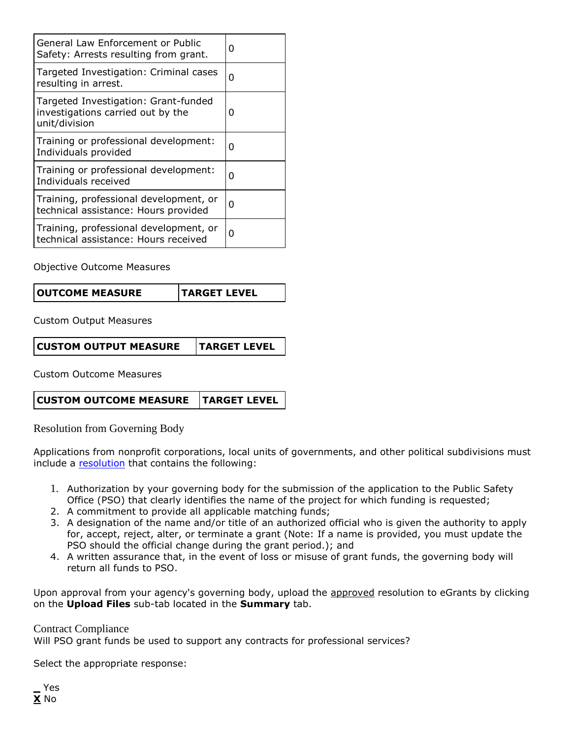| General Law Enforcement or Public<br>Safety: Arrests resulting from grant.                 | 0 |
|--------------------------------------------------------------------------------------------|---|
| Targeted Investigation: Criminal cases<br>resulting in arrest.                             | 0 |
| Targeted Investigation: Grant-funded<br>investigations carried out by the<br>unit/division | 0 |
| Training or professional development:<br>Individuals provided                              | 0 |
| Training or professional development:<br>Individuals received                              | 0 |
| Training, professional development, or<br>technical assistance: Hours provided             | 0 |
| Training, professional development, or<br>technical assistance: Hours received             | 0 |

Objective Outcome Measures

| <b>OUTCOME MEASURE</b> | <b>TARGET LEVEL</b> |
|------------------------|---------------------|
|------------------------|---------------------|

Custom Output Measures

| <b>CUSTOM OUTPUT MEASURE</b> | <b>TARGET LEVEL</b> |
|------------------------------|---------------------|
|                              |                     |

Custom Outcome Measures

Resolution from Governing Body

Applications from nonprofit corporations, local units of governments, and other political subdivisions must include a [resolution](file:///C:/Users/mharp/FileDirectory/OOG_Sample_Resolution.doc) that contains the following:

- 1. Authorization by your governing body for the submission of the application to the Public Safety Office (PSO) that clearly identifies the name of the project for which funding is requested;
- 2. A commitment to provide all applicable matching funds;
- 3. A designation of the name and/or title of an authorized official who is given the authority to apply for, accept, reject, alter, or terminate a grant (Note: If a name is provided, you must update the PSO should the official change during the grant period.); and
- 4. A written assurance that, in the event of loss or misuse of grant funds, the governing body will return all funds to PSO.

Upon approval from your agency's governing body, upload the **approved** resolution to eGrants by clicking on the **Upload Files** sub-tab located in the **Summary** tab.

Contract Compliance

Will PSO grant funds be used to support any contracts for professional services?

Select the appropriate response: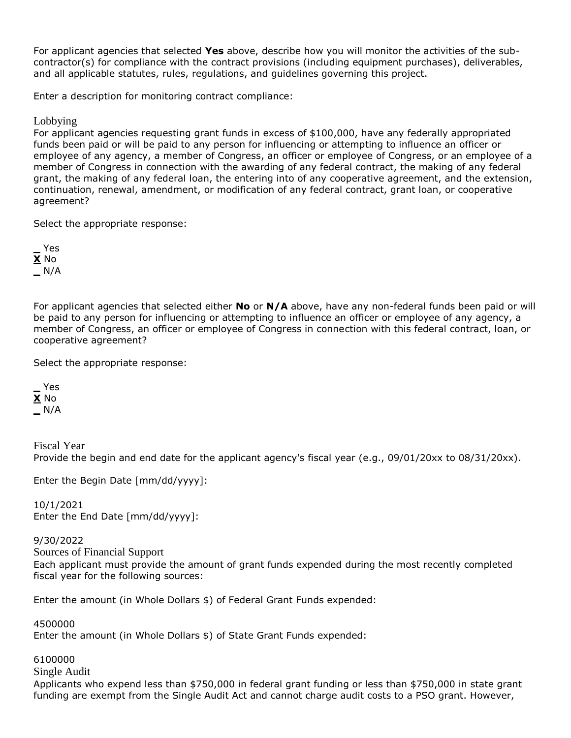For applicant agencies that selected **Yes** above, describe how you will monitor the activities of the subcontractor(s) for compliance with the contract provisions (including equipment purchases), deliverables, and all applicable statutes, rules, regulations, and guidelines governing this project.

Enter a description for monitoring contract compliance:

Lobbying

For applicant agencies requesting grant funds in excess of \$100,000, have any federally appropriated funds been paid or will be paid to any person for influencing or attempting to influence an officer or employee of any agency, a member of Congress, an officer or employee of Congress, or an employee of a member of Congress in connection with the awarding of any federal contract, the making of any federal grant, the making of any federal loan, the entering into of any cooperative agreement, and the extension, continuation, renewal, amendment, or modification of any federal contract, grant loan, or cooperative agreement?

Select the appropriate response:

**\_** Yes **X** No **\_** N/A

For applicant agencies that selected either **No** or **N/A** above, have any non-federal funds been paid or will be paid to any person for influencing or attempting to influence an officer or employee of any agency, a member of Congress, an officer or employee of Congress in connection with this federal contract, loan, or cooperative agreement?

Select the appropriate response:

**\_** Yes **X** No **\_** N/A

Fiscal Year Provide the begin and end date for the applicant agency's fiscal year (e.g., 09/01/20xx to 08/31/20xx).

Enter the Begin Date [mm/dd/yyyy]:

10/1/2021 Enter the End Date [mm/dd/yyyy]:

9/30/2022 Sources of Financial Support Each applicant must provide the amount of grant funds expended during the most recently completed fiscal year for the following sources:

Enter the amount (in Whole Dollars \$) of Federal Grant Funds expended:

4500000 Enter the amount (in Whole Dollars \$) of State Grant Funds expended:

6100000 Single Audit

Applicants who expend less than \$750,000 in federal grant funding or less than \$750,000 in state grant funding are exempt from the Single Audit Act and cannot charge audit costs to a PSO grant. However,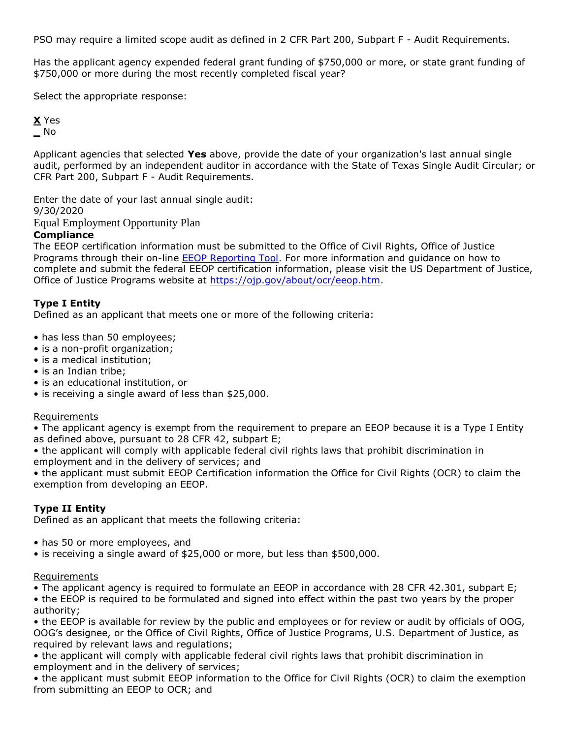PSO may require a limited scope audit as defined in 2 CFR Part 200, Subpart F - Audit Requirements.

Has the applicant agency expended federal grant funding of \$750,000 or more, or state grant funding of \$750,000 or more during the most recently completed fiscal year?

Select the appropriate response:

**X** Yes **\_** No

Applicant agencies that selected **Yes** above, provide the date of your organization's last annual single audit, performed by an independent auditor in accordance with the State of Texas Single Audit Circular; or CFR Part 200, Subpart F - Audit Requirements.

Enter the date of your last annual single audit:

9/30/2020

Equal Employment Opportunity Plan

## **Compliance**

The EEOP certification information must be submitted to the Office of Civil Rights, Office of Justice Programs through their on-line [EEOP Reporting Tool.](https://ocr-eeop.ncjrs.gov/_layouts/15/eeopLogin2/customLogin.aspx?ReturnUrl=%2f_layouts%2f15%2fAuthenticate.aspx%3fSource%3d%252F&Source=%2F) For more information and guidance on how to complete and submit the federal EEOP certification information, please visit the US Department of Justice, Office of Justice Programs website at [https://ojp.gov/about/ocr/eeop.htm.](https://ojp.gov/about/ocr/eeop.htm)

## **Type I Entity**

Defined as an applicant that meets one or more of the following criteria:

- has less than 50 employees;
- is a non-profit organization;
- is a medical institution;
- is an Indian tribe;
- is an educational institution, or
- is receiving a single award of less than \$25,000.

## **Requirements**

• The applicant agency is exempt from the requirement to prepare an EEOP because it is a Type I Entity as defined above, pursuant to 28 CFR 42, subpart E;

• the applicant will comply with applicable federal civil rights laws that prohibit discrimination in employment and in the delivery of services; and

• the applicant must submit EEOP Certification information the Office for Civil Rights (OCR) to claim the exemption from developing an EEOP.

## **Type II Entity**

Defined as an applicant that meets the following criteria:

- has 50 or more employees, and
- is receiving a single award of \$25,000 or more, but less than \$500,000.

## Requirements

• The applicant agency is required to formulate an EEOP in accordance with 28 CFR 42.301, subpart E;

• the EEOP is required to be formulated and signed into effect within the past two years by the proper authority;

• the EEOP is available for review by the public and employees or for review or audit by officials of OOG, OOG's designee, or the Office of Civil Rights, Office of Justice Programs, U.S. Department of Justice, as required by relevant laws and regulations;

• the applicant will comply with applicable federal civil rights laws that prohibit discrimination in employment and in the delivery of services;

• the applicant must submit EEOP information to the Office for Civil Rights (OCR) to claim the exemption from submitting an EEOP to OCR; and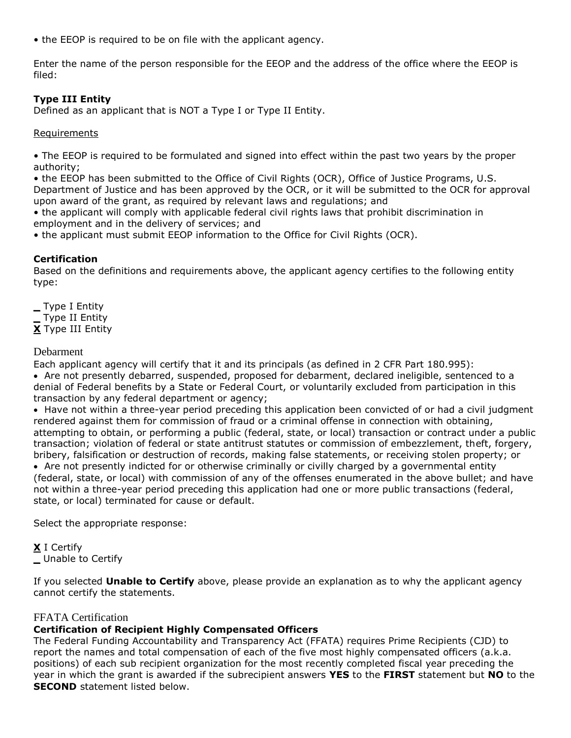• the EEOP is required to be on file with the applicant agency.

Enter the name of the person responsible for the EEOP and the address of the office where the EEOP is filed:

## **Type III Entity**

Defined as an applicant that is NOT a Type I or Type II Entity.

## **Requirements**

• The EEOP is required to be formulated and signed into effect within the past two years by the proper authority;

• the EEOP has been submitted to the Office of Civil Rights (OCR), Office of Justice Programs, U.S. Department of Justice and has been approved by the OCR, or it will be submitted to the OCR for approval upon award of the grant, as required by relevant laws and regulations; and

• the applicant will comply with applicable federal civil rights laws that prohibit discrimination in employment and in the delivery of services; and

• the applicant must submit EEOP information to the Office for Civil Rights (OCR).

## **Certification**

Based on the definitions and requirements above, the applicant agency certifies to the following entity type:

**\_** Type I Entity **\_** Type II Entity **X** Type III Entity

# Debarment

Each applicant agency will certify that it and its principals (as defined in 2 CFR Part 180.995): Are not presently debarred, suspended, proposed for debarment, declared ineligible, sentenced to a denial of Federal benefits by a State or Federal Court, or voluntarily excluded from participation in this transaction by any federal department or agency;

• Have not within a three-year period preceding this application been convicted of or had a civil judgment rendered against them for commission of fraud or a criminal offense in connection with obtaining, attempting to obtain, or performing a public (federal, state, or local) transaction or contract under a public transaction; violation of federal or state antitrust statutes or commission of embezzlement, theft, forgery, bribery, falsification or destruction of records, making false statements, or receiving stolen property; or

• Are not presently indicted for or otherwise criminally or civilly charged by a governmental entity (federal, state, or local) with commission of any of the offenses enumerated in the above bullet; and have not within a three-year period preceding this application had one or more public transactions (federal, state, or local) terminated for cause or default.

Select the appropriate response:

**X** I Certify

**\_** Unable to Certify

If you selected **Unable to Certify** above, please provide an explanation as to why the applicant agency cannot certify the statements.

## FFATA Certification

## **Certification of Recipient Highly Compensated Officers**

The Federal Funding Accountability and Transparency Act (FFATA) requires Prime Recipients (CJD) to report the names and total compensation of each of the five most highly compensated officers (a.k.a. positions) of each sub recipient organization for the most recently completed fiscal year preceding the year in which the grant is awarded if the subrecipient answers **YES** to the **FIRST** statement but **NO** to the **SECOND** statement listed below.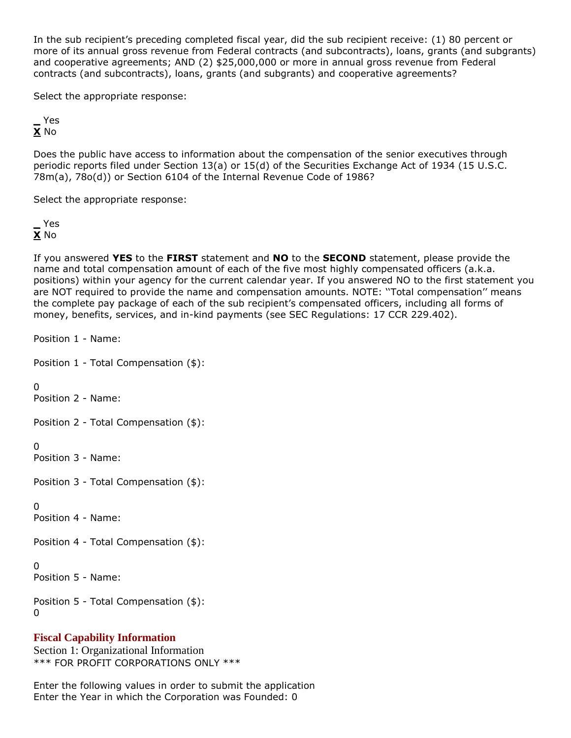In the sub recipient's preceding completed fiscal year, did the sub recipient receive: (1) 80 percent or more of its annual gross revenue from Federal contracts (and subcontracts), loans, grants (and subgrants) and cooperative agreements; AND (2) \$25,000,000 or more in annual gross revenue from Federal contracts (and subcontracts), loans, grants (and subgrants) and cooperative agreements?

Select the appropriate response:

## **\_** Yes **X** No

Does the public have access to information about the compensation of the senior executives through periodic reports filed under Section 13(a) or 15(d) of the Securities Exchange Act of 1934 (15 U.S.C. 78m(a), 78o(d)) or Section 6104 of the Internal Revenue Code of 1986?

Select the appropriate response:

# **\_** Yes **X** No

If you answered **YES** to the **FIRST** statement and **NO** to the **SECOND** statement, please provide the name and total compensation amount of each of the five most highly compensated officers (a.k.a. positions) within your agency for the current calendar year. If you answered NO to the first statement you are NOT required to provide the name and compensation amounts. NOTE: ''Total compensation'' means the complete pay package of each of the sub recipient's compensated officers, including all forms of money, benefits, services, and in-kind payments (see SEC Regulations: 17 CCR 229.402).

Position 1 - Name:

Position 1 - Total Compensation (\$):

 $\Omega$ 

Position 2 - Name:

Position 2 - Total Compensation (\$):

 $\Omega$ 

Position 3 - Name:

Position 3 - Total Compensation (\$):

# $\Omega$

Position 4 - Name:

Position 4 - Total Compensation (\$):

# $\Omega$

Position 5 - Name:

Position 5 - Total Compensation (\$):  $\Omega$ 

# **Fiscal Capability Information**

Section 1: Organizational Information \*\*\* FOR PROFIT CORPORATIONS ONLY \*\*\*

Enter the following values in order to submit the application Enter the Year in which the Corporation was Founded: 0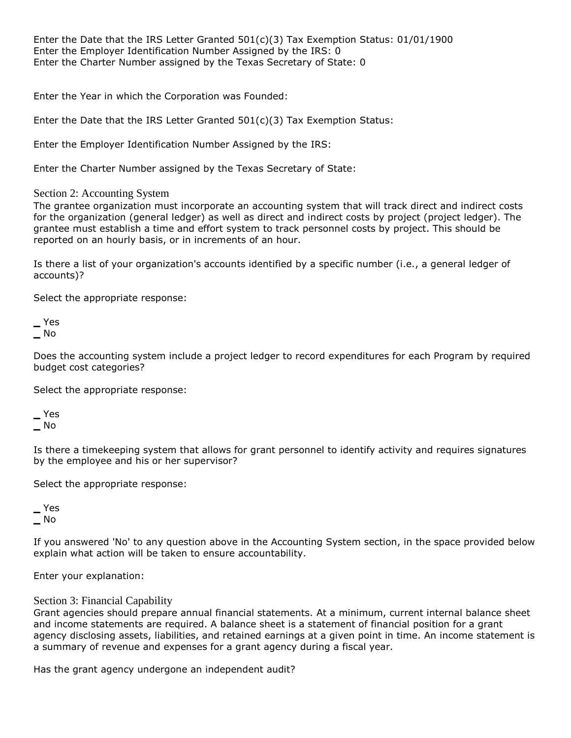Enter the Date that the IRS Letter Granted 501(c)(3) Tax Exemption Status: 01/01/1900 Enter the Employer Identification Number Assigned by the IRS: 0 Enter the Charter Number assigned by the Texas Secretary of State: 0

Enter the Year in which the Corporation was Founded:

Enter the Date that the IRS Letter Granted 501(c)(3) Tax Exemption Status:

Enter the Employer Identification Number Assigned by the IRS:

Enter the Charter Number assigned by the Texas Secretary of State:

Section 2: Accounting System

The grantee organization must incorporate an accounting system that will track direct and indirect costs for the organization (general ledger) as well as direct and indirect costs by project (project ledger). The grantee must establish a time and effort system to track personnel costs by project. This should be reported on an hourly basis, or in increments of an hour.

Is there a list of your organization's accounts identified by a specific number (i.e., a general ledger of accounts)?

Select the appropriate response:

**\_** Yes **\_** No

Does the accounting system include a project ledger to record expenditures for each Program by required budget cost categories?

Select the appropriate response:

$$
\begin{array}{c}\n\mathsf{--}^{\mathsf{Yes}} \\
\mathsf{--}^{\mathsf{No}}\n\end{array}
$$

Is there a timekeeping system that allows for grant personnel to identify activity and requires signatures by the employee and his or her supervisor?

Select the appropriate response:

**\_** Yes **\_** No

If you answered 'No' to any question above in the Accounting System section, in the space provided below explain what action will be taken to ensure accountability.

Enter your explanation:

## Section 3: Financial Capability

Grant agencies should prepare annual financial statements. At a minimum, current internal balance sheet and income statements are required. A balance sheet is a statement of financial position for a grant agency disclosing assets, liabilities, and retained earnings at a given point in time. An income statement is a summary of revenue and expenses for a grant agency during a fiscal year.

Has the grant agency undergone an independent audit?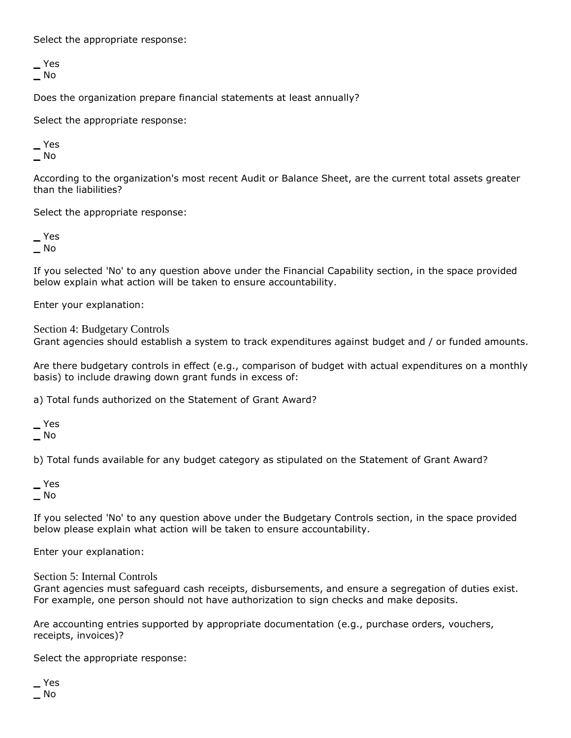Select the appropriate response:

**\_** Yes **\_** No

Does the organization prepare financial statements at least annually?

Select the appropriate response:

**\_** Yes **\_** No

According to the organization's most recent Audit or Balance Sheet, are the current total assets greater than the liabilities?

Select the appropriate response:

**\_** Yes **\_** No

If you selected 'No' to any question above under the Financial Capability section, in the space provided below explain what action will be taken to ensure accountability.

Enter your explanation:

Section 4: Budgetary Controls Grant agencies should establish a system to track expenditures against budget and / or funded amounts.

Are there budgetary controls in effect (e.g., comparison of budget with actual expenditures on a monthly basis) to include drawing down grant funds in excess of:

a) Total funds authorized on the Statement of Grant Award?

**\_** Yes **\_** No

b) Total funds available for any budget category as stipulated on the Statement of Grant Award?

**\_** Yes **\_** No

If you selected 'No' to any question above under the Budgetary Controls section, in the space provided below please explain what action will be taken to ensure accountability.

Enter your explanation:

Section 5: Internal Controls

Grant agencies must safeguard cash receipts, disbursements, and ensure a segregation of duties exist. For example, one person should not have authorization to sign checks and make deposits.

Are accounting entries supported by appropriate documentation (e.g., purchase orders, vouchers, receipts, invoices)?

Select the appropriate response:

**\_** Yes **\_** No